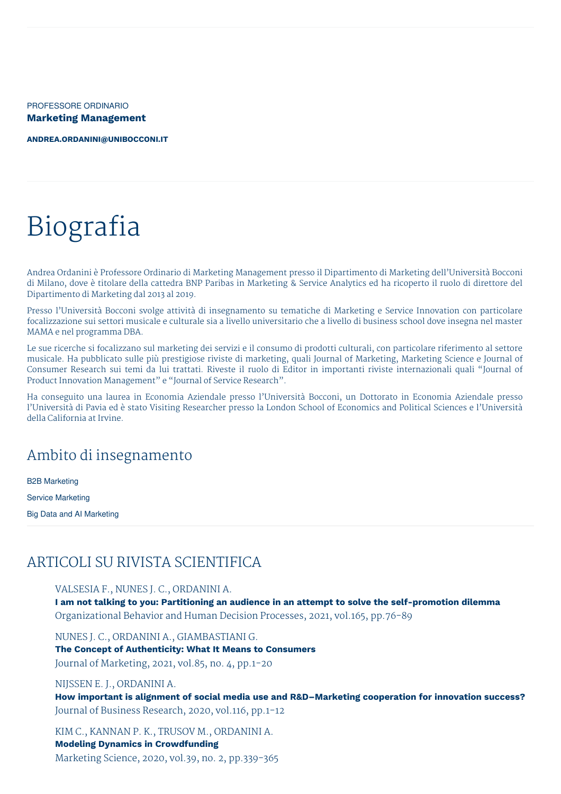PROFESSORE ORDINARIO **Marketing Management**

**[ANDREA.ORDANINI@UNIBOCCONI.IT](mailto:andrea.ordanini@unibocconi.it)**

# Biografia

Andrea Ordanini è Professore Ordinario di Marketing Management presso il Dipartimento di Marketing dell'Università Bocconi di Milano, dove è titolare della cattedra BNP Paribas in Marketing & Service Analytics ed ha ricoperto il ruolo di direttore del Dipartimento di Marketing dal 2013 al 2019.

Presso l'Università Bocconi svolge attività di insegnamento su tematiche di Marketing e Service Innovation con particolare focalizzazione sui settori musicale e culturale sia a livello universitario che a livello di business school dove insegna nel master MAMA e nel programma DBA.

Le sue ricerche si focalizzano sul marketing dei servizi e il consumo di prodotti culturali, con particolare riferimento al settore musicale. Ha pubblicato sulle più prestigiose riviste di marketing, quali Journal of Marketing, Marketing Science e Journal of Consumer Research sui temi da lui trattati. Riveste il ruolo di Editor in importanti riviste internazionali quali "Journal of Product Innovation Management" e "Journal of Service Research".

Ha conseguito una laurea in Economia Aziendale presso l'Università Bocconi, un Dottorato in Economia Aziendale presso l'Università di Pavia ed è stato Visiting Researcher presso la London School of Economics and Political Sciences e l'Università della California at Irvine.

# Ambito di insegnamento

B2B Marketing Service Marketing Big Data and AI Marketing

# ARTICOLI SU RIVISTA SCIENTIFICA

VALSESIA F., NUNES J. C., ORDANINI A.

**I am not talking to you: Partitioning an audience in an attempt to solve the self-promotion dilemma** Organizational Behavior and Human Decision Processes, 2021, vol.165, pp.76-89

NUNES J. C., ORDANINI A., GIAMBASTIANI G.

**The Concept of Authenticity: What It Means to Consumers**

Journal of Marketing, 2021, vol.85, no. 4, pp.1-20

### NIJSSEN E. J., ORDANINI A.

**How important is alignment of social media use and R&D–Marketing cooperation for innovation success?** Journal of Business Research, 2020, vol.116, pp.1-12

KIM C., KANNAN P. K., TRUSOV M., ORDANINI A.

### **Modeling Dynamics in Crowdfunding**

Marketing Science, 2020, vol.39, no. 2, pp.339-365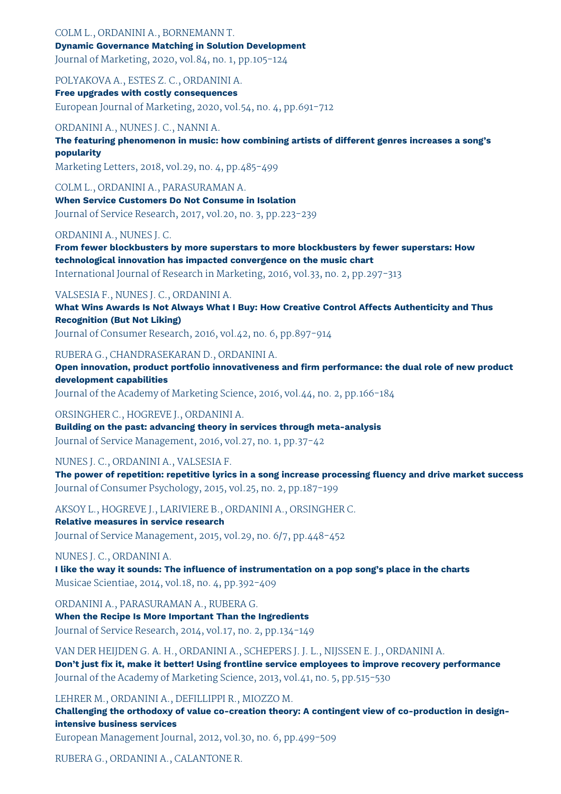### COLM L., ORDANINI A., BORNEMANN T. **Dynamic Governance Matching in Solution Development**

Journal of Marketing, 2020, vol.84, no. 1, pp.105-124

POLYAKOVA A., ESTES Z. C., ORDANINI A.

**Free upgrades with costly consequences** European Journal of Marketing, 2020, vol.54, no. 4, pp.691-712

### ORDANINI A., NUNES J. C., NANNI A.

**The featuring phenomenon in music: how combining artists of different genres increases a song's popularity**

Marketing Letters, 2018, vol.29, no. 4, pp.485-499

COLM L., ORDANINI A., PARASURAMAN A.

**When Service Customers Do Not Consume in Isolation** Journal of Service Research, 2017, vol.20, no. 3, pp.223-239

### ORDANINI A., NUNES J. C.

**From fewer blockbusters by more superstars to more blockbusters by fewer superstars: How technological innovation has impacted convergence on the music chart** International Journal of Research in Marketing, 2016, vol.33, no. 2, pp.297-313

### VALSESIA F., NUNES J. C., ORDANINI A.

**What Wins Awards Is Not Always What I Buy: How Creative Control Affects Authenticity and Thus Recognition (But Not Liking)** Journal of Consumer Research, 2016, vol.42, no. 6, pp.897-914

### RUBERA G., CHANDRASEKARAN D., ORDANINI A.

**Open innovation, product portfolio innovativeness and firm performance: the dual role of new product development capabilities**

Journal of the Academy of Marketing Science, 2016, vol.44, no. 2, pp.166-184

ORSINGHER C., HOGREVE J., ORDANINI A.

**Building on the past: advancing theory in services through meta-analysis** Journal of Service Management, 2016, vol.27, no. 1, pp.37-42

NUNES J. C., ORDANINI A., VALSESIA F.

**The power of repetition: repetitive lyrics in a song increase processing fluency and drive market success** Journal of Consumer Psychology, 2015, vol.25, no. 2, pp.187-199

AKSOY L., HOGREVE J., LARIVIERE B., ORDANINI A., ORSINGHER C. **Relative measures in service research** Journal of Service Management, 2015, vol.29, no. 6/7, pp.448-452

### NUNES J. C., ORDANINI A.

**I like the way it sounds: The influence of instrumentation on a pop song's place in the charts** Musicae Scientiae, 2014, vol.18, no. 4, pp.392-409

ORDANINI A., PARASURAMAN A., RUBERA G. **When the Recipe Is More Important Than the Ingredients** Journal of Service Research, 2014, vol.17, no. 2, pp.134-149

VAN DER HEIJDEN G. A. H., ORDANINI A., SCHEPERS J. J. L., NIJSSEN E. J., ORDANINI A. **Don't just fix it, make it better! Using frontline service employees to improve recovery performance** Journal of the Academy of Marketing Science, 2013, vol.41, no. 5, pp.515-530

LEHRER M., ORDANINI A., DEFILLIPPI R., MIOZZO M.

**Challenging the orthodoxy of value co-creation theory: A contingent view of co-production in designintensive business services**

European Management Journal, 2012, vol.30, no. 6, pp.499-509

RUBERA G., ORDANINI A., CALANTONE R.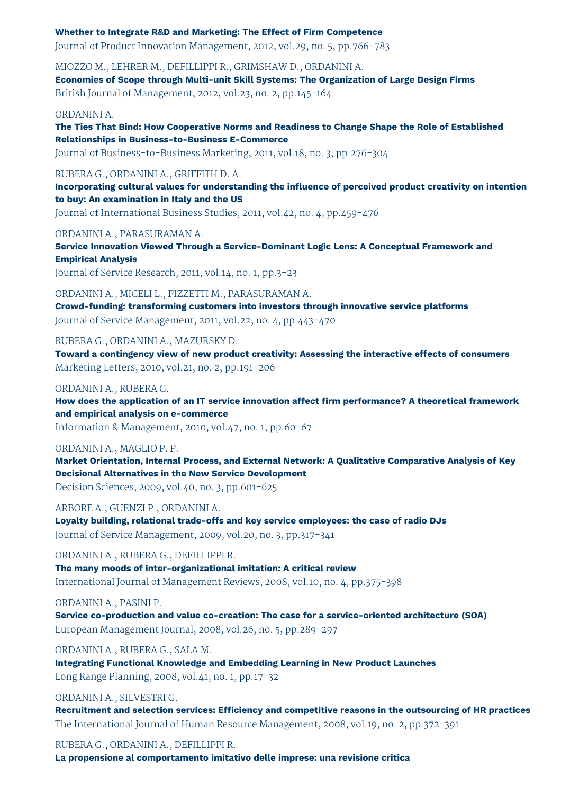#### **Whether to Integrate R&D and Marketing: The Effect of Firm Competence**

Journal of Product Innovation Management, 2012, vol.29, no. 5, pp.766-783

MIOZZO M., LEHRER M., DEFILLIPPI R., GRIMSHAW D., ORDANINI A. **Economies of Scope through Multi-unit Skill Systems: The Organization of Large Design Firms** British Journal of Management, 2012, vol.23, no. 2, pp.145-164

#### ORDANINI A.

**The Ties That Bind: How Cooperative Norms and Readiness to Change Shape the Role of Established Relationships in Business-to-Business E-Commerce**

Journal of Business-to-Business Marketing, 2011, vol.18, no. 3, pp.276-304

#### RUBERA G., ORDANINI A., GRIFFITH D. A.

**Incorporating cultural values for understanding the influence of perceived product creativity on intention to buy: An examination in Italy and the US**

Journal of International Business Studies, 2011, vol.42, no. 4, pp.459-476

ORDANINI A., PARASURAMAN A.

**Service Innovation Viewed Through a Service-Dominant Logic Lens: A Conceptual Framework and Empirical Analysis**

Journal of Service Research, 2011, vol.14, no. 1, pp.3-23

ORDANINI A., MICELI L., PIZZETTI M., PARASURAMAN A.

**Crowd-funding: transforming customers into investors through innovative service platforms** Journal of Service Management, 2011, vol.22, no. 4, pp.443-470

RUBERA G., ORDANINI A., MAZURSKY D.

**Toward a contingency view of new product creativity: Assessing the interactive effects of consumers** Marketing Letters, 2010, vol.21, no. 2, pp.191-206

#### ORDANINI A., RUBERA G.

**How does the application of an IT service innovation affect firm performance? A theoretical framework and empirical analysis on e-commerce**

Information & Management, 2010, vol.47, no. 1, pp.60-67

#### ORDANINI A., MAGLIO P. P.

**Market Orientation, Internal Process, and External Network: A Qualitative Comparative Analysis of Key Decisional Alternatives in the New Service Development**

Decision Sciences, 2009, vol.40, no. 3, pp.601-625

ARBORE A., GUENZI P., ORDANINI A.

**Loyalty building, relational trade-offs and key service employees: the case of radio DJs** Journal of Service Management, 2009, vol.20, no. 3, pp.317-341

#### ORDANINI A., RUBERA G., DEFILLIPPI R.

**The many moods of inter-organizational imitation: A critical review** International Journal of Management Reviews, 2008, vol.10, no. 4, pp.375-398

ORDANINI A., PASINI P.

**Service co-production and value co-creation: The case for a service-oriented architecture (SOA)** European Management Journal, 2008, vol.26, no. 5, pp.289-297

ORDANINI A., RUBERA G., SALA M.

**Integrating Functional Knowledge and Embedding Learning in New Product Launches** Long Range Planning, 2008, vol.41, no. 1, pp.17-32

ORDANINI A., SILVESTRI G.

**Recruitment and selection services: Efficiency and competitive reasons in the outsourcing of HR practices** The International Journal of Human Resource Management, 2008, vol.19, no. 2, pp.372-391

RUBERA G., ORDANINI A., DEFILLIPPI R. **La propensione al comportamento imitativo delle imprese: una revisione critica**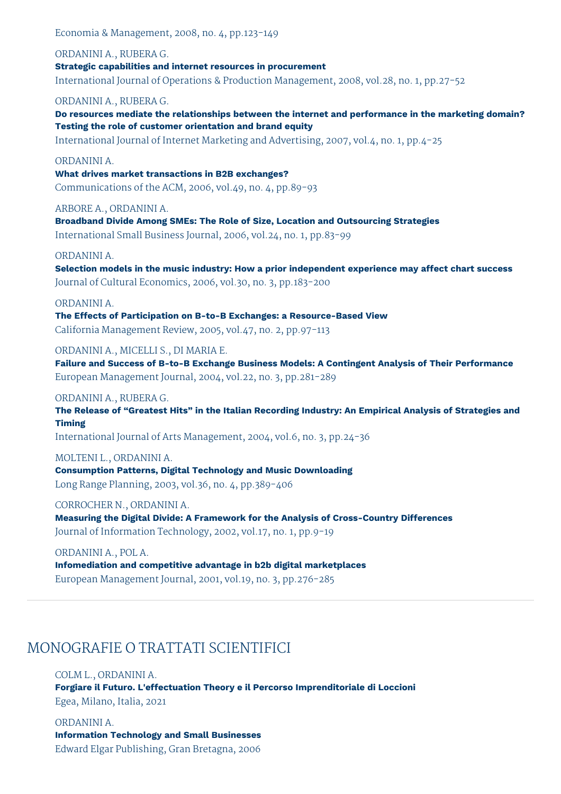Economia & Management, 2008, no. 4, pp.123-149

ORDANINI A., RUBERA G. **Strategic capabilities and internet resources in procurement** International Journal of Operations & Production Management, 2008, vol.28, no. 1, pp.27-52

#### ORDANINI A., RUBERA G.

**Do resources mediate the relationships between the internet and performance in the marketing domain? Testing the role of customer orientation and brand equity**

International Journal of Internet Marketing and Advertising, 2007, vol.4, no. 1, pp.4-25

#### ORDANINI A.

**What drives market transactions in B2B exchanges?**

Communications of the ACM, 2006, vol.49, no. 4, pp.89-93

ARBORE A., ORDANINI A.

**Broadband Divide Among SMEs: The Role of Size, Location and Outsourcing Strategies** International Small Business Journal, 2006, vol.24, no. 1, pp.83-99

#### ORDANINI A.

**Selection models in the music industry: How a prior independent experience may affect chart success** Journal of Cultural Economics, 2006, vol.30, no. 3, pp.183-200

#### ORDANINI A.

**The Effects of Participation on B-to-B Exchanges: a Resource-Based View** California Management Review, 2005, vol.47, no. 2, pp.97-113

ORDANINI A., MICELLI S., DI MARIA E.

**Failure and Success of B-to-B Exchange Business Models: A Contingent Analysis of Their Performance** European Management Journal, 2004, vol.22, no. 3, pp.281-289

#### ORDANINI A., RUBERA G.

**The Release of "Greatest Hits" in the Italian Recording Industry: An Empirical Analysis of Strategies and Timing**

International Journal of Arts Management, 2004, vol.6, no. 3, pp.24-36

#### MOLTENI L., ORDANINI A.

**Consumption Patterns, Digital Technology and Music Downloading** Long Range Planning, 2003, vol.36, no. 4, pp.389-406

#### CORROCHER N., ORDANINI A.

**Measuring the Digital Divide: A Framework for the Analysis of Cross-Country Differences** Journal of Information Technology, 2002, vol.17, no. 1, pp.9-19

#### ORDANINI A., POL A.

**Infomediation and competitive advantage in b2b digital marketplaces** European Management Journal, 2001, vol.19, no. 3, pp.276-285

# MONOGRAFIE O TRATTATI SCIENTIFICI

COLM L., ORDANINI A. **Forgiare il Futuro. L'effectuation Theory e il Percorso Imprenditoriale di Loccioni** Egea, Milano, Italia, 2021

ORDANINI A. **Information Technology and Small Businesses** Edward Elgar Publishing, Gran Bretagna, 2006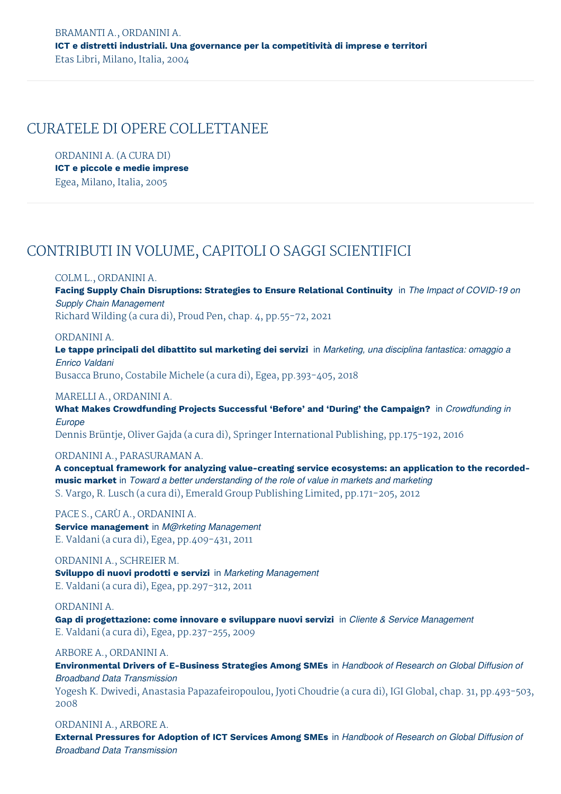## CURATELE DI OPERE COLLETTANEE

ORDANINI A. (A CURA DI) **ICT e piccole e medie imprese** Egea, Milano, Italia, 2005

# CONTRIBUTI IN VOLUME, CAPITOLI O SAGGI SCIENTIFICI

### COLM L., ORDANINI A.

**Facing Supply Chain Disruptions: Strategies to Ensure Relational Continuity** in *The Impact of COVID-19 on Supply Chain Management*

Richard Wilding (a cura di), Proud Pen, chap. 4, pp.55-72, 2021

#### ORDANINI A.

**Le tappe principali del dibattito sul marketing dei servizi** in *Marketing, una disciplina fantastica: omaggio a Enrico Valdani*

Busacca Bruno, Costabile Michele (a cura di), Egea, pp.393-405, 2018

### MARELLI A., ORDANINI A.

**What Makes Crowdfunding Projects Successful 'Before' and 'During' the Campaign?** in *Crowdfunding in Europe*

Dennis Brüntje, Oliver Gajda (a cura di), Springer International Publishing, pp.175-192, 2016

### ORDANINI A., PARASURAMAN A.

**A conceptual framework for analyzing value-creating service ecosystems: an application to the recordedmusic market** in *Toward a better understanding of the role of value in markets and marketing* S. Vargo, R. Lusch (a cura di), Emerald Group Publishing Limited, pp.171-205, 2012

PACE S., CARÙ A., ORDANINI A. **Service management** in *M@rketing Management* E. Valdani (a cura di), Egea, pp.409-431, 2011

ORDANINI A., SCHREIER M. **Sviluppo di nuovi prodotti e servizi** in *Marketing Management* E. Valdani (a cura di), Egea, pp.297-312, 2011

ORDANINI A. **Gap di progettazione: come innovare e sviluppare nuovi servizi** in *Cliente & Service Management* E. Valdani (a cura di), Egea, pp.237-255, 2009

#### ARBORE A., ORDANINI A.

**Environmental Drivers of E-Business Strategies Among SMEs** in *Handbook of Research on Global Diffusion of Broadband Data Transmission* Yogesh K. Dwivedi, Anastasia Papazafeiropoulou, Jyoti Choudrie (a cura di), IGI Global, chap. 31, pp.493-503, 2008

ORDANINI A., ARBORE A. **External Pressures for Adoption of ICT Services Among SMEs** in *Handbook of Research on Global Diffusion of Broadband Data Transmission*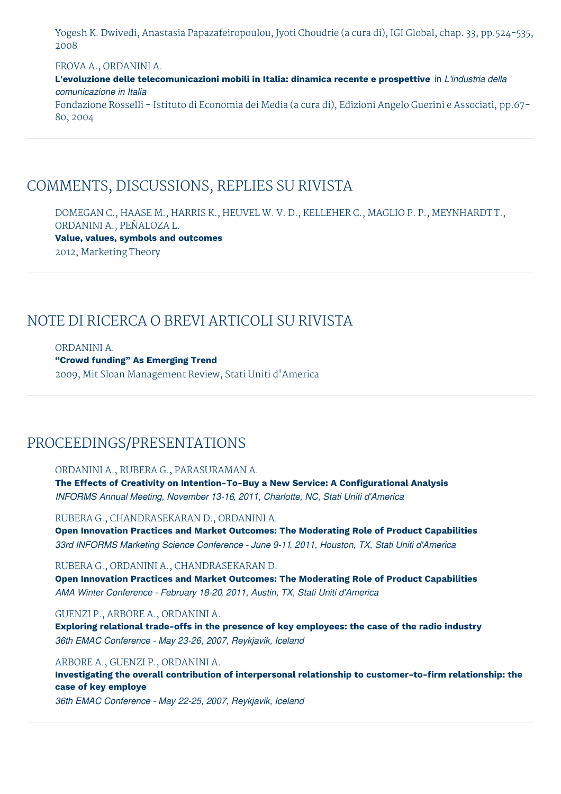Yogesh K. Dwivedi, Anastasia Papazafeiropoulou, Jyoti Choudrie (a cura di), IGI Global, chap. 33, pp.524-535, 2008

FROVA A., ORDANINI A.

**L'evoluzione delle telecomunicazioni mobili in Italia: dinamica recente e prospettive** in *L'industria della comunicazione in Italia*

Fondazione Rosselli - Istituto di Economia dei Media (a cura di), Edizioni Angelo Guerini e Associati, pp.67- 80, 2004

# COMMENTS, DISCUSSIONS, REPLIES SU RIVISTA

DOMEGAN C., HAASE M., HARRIS K., HEUVEL W. V. D., KELLEHER C., MAGLIO P. P., MEYNHARDT T., ORDANINI A., PEÑALOZA L. **Value, values, symbols and outcomes** 2012, Marketing Theory

# NOTE DI RICERCA O BREVI ARTICOLI SU RIVISTA

ORDANINI A. **"Crowd funding" As Emerging Trend** 2009, Mit Sloan Management Review, Stati Uniti d'America

# PROCEEDINGS/PRESENTATIONS

ORDANINI A., RUBERA G., PARASURAMAN A. **The Effects of Creativity on Intention-To-Buy a New Service: A Configurational Analysis**

*INFORMS Annual Meeting, November 13-16, 2011, Charlotte, NC, Stati Uniti d'America*

RUBERA G., CHANDRASEKARAN D., ORDANINI A. **Open Innovation Practices and Market Outcomes: The Moderating Role of Product Capabilities** *33rd INFORMS Marketing Science Conference - June 9-11, 2011, Houston, TX, Stati Uniti d'America*

RUBERA G., ORDANINI A., CHANDRASEKARAN D. **Open Innovation Practices and Market Outcomes: The Moderating Role of Product Capabilities** *AMA Winter Conference - February 18-20, 2011, Austin, TX, Stati Uniti d'America*

GUENZI P., ARBORE A., ORDANINI A. **Exploring relational trade-offs in the presence of key employees: the case of the radio industry** *36th EMAC Conference - May 23-26, 2007, Reykjavik, Iceland*

ARBORE A., GUENZI P., ORDANINI A.

**Investigating the overall contribution of interpersonal relationship to customer-to-firm relationship: the case of key employe**

*36th EMAC Conference - May 22-25, 2007, Reykjavik, Iceland*